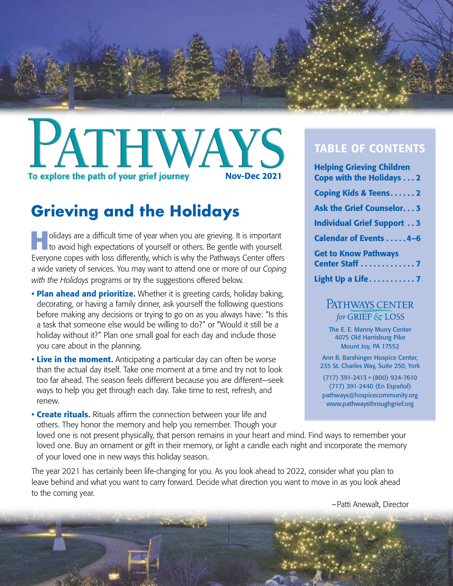

## **ATHWAYS** Nov-Dec 2021To explore the path of your grief journey

## **Grieving and the Holidays**

**Holidays are a difficult time of year when you are grieving. It is important to avoid high expectations of yourself or others. Be gentle with yourself.** Everyone copes with loss differently, which is why the Pathways Center offers a wide variety of services. You may want to attend one or more of our *Coping with the Holidays* programs or try the suggestions offered below.

- Plan ahead and prioritize. Whether it is greeting cards, holiday baking, decorating, or having a family dinner, ask yourself the following questions before making any decisions or trying to go on as you always have: "Is this a task that someone else would be willing to do?" or "Would it still be a holiday without it?" Plan one small goal for each day and include those you care about in the planning.
- Live in the moment. Anticipating a particular day can often be worse than the actual day itself. Take one moment at a time and try not to look too far ahead. The season feels different because you are different—seek ways to help you get through each day. Take time to rest, refresh, and renew.
- Create rituals. Rituals affirm the connection between your life and others. They honor the memory and help you remember. Though your

#### TABLE OF CONTENTS

| <b>Helping Grieving Children</b>  |  |
|-----------------------------------|--|
| <b>Cope with the Holidays 2</b>   |  |
| <b>Coping Kids &amp; Teens2</b>   |  |
| <b>Ask the Grief Counselor3</b>   |  |
| <b>Individual Grief Support 3</b> |  |
| <b>Calendar of Events 4-6</b>     |  |
| <b>Get to Know Pathways</b>       |  |
| Center Staff 7                    |  |
| Light Up a Life7                  |  |

#### PATHWAYS CENTER for GRIEF & LOSS

The E. E. Manny Murry Center 4075 Old Harrisburg Pike Mount Joy, PA 17552

Ann B. Barshinger Hospice Center, 235 St. Charles Way, Suite 250, York

(717) 391-2413 • (800) 924-7610 (717) 391-2440 (En Español) pathways@hospicecommunity.org www.pathwaysthroughgrief.org

loved one is not present physically, that person remains in your heart and mind. Find ways to remember your loved one. Buy an ornament or gift in their memory, or light a candle each night and incorporate the memory of your loved one in new ways this holiday season.

The year 2021 has certainly been life-changing for you. As you look ahead to 2022, consider what you plan to leave behind and what you want to carry forward. Decide what direction you want to move in as you look ahead to the coming year.

~Patti Anewalt, Director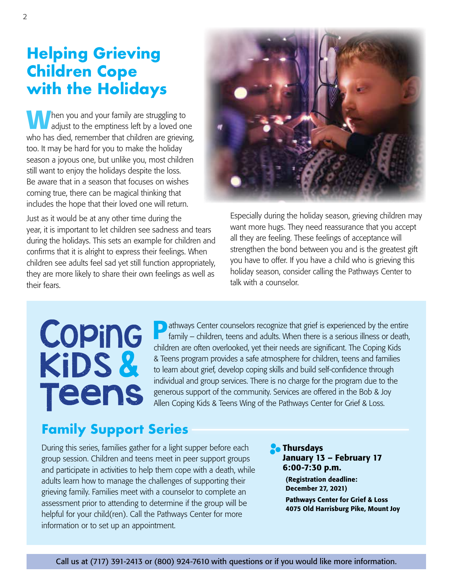## **Helping Grieving Children Cope with the Holidays**

 $\blacksquare$  hen you and your family are struggling to adjust to the emptiness left by a loved one who has died, remember that children are grieving, too. It may be hard for you to make the holiday season a joyous one, but unlike you, most children still want to enjoy the holidays despite the loss. Be aware that in a season that focuses on wishes coming true, there can be magical thinking that includes the hope that their loved one will return.

Just as it would be at any other time during the year, it is important to let children see sadness and tears during the holidays. This sets an example for children and confirms that it is alright to express their feelings. When children see adults feel sad yet still function appropriately, they are more likely to share their own feelings as well as their fears.



Especially during the holiday season, grieving children may want more hugs. They need reassurance that you accept all they are feeling. These feelings of acceptance will strengthen the bond between you and is the greatest gift you have to offer. If you have a child who is grieving this holiday season, consider calling the Pathways Center to talk with a counselor.

# Coping KiDS& **Teens**

**Pathways Center counselors recognize that grief is experienced by the entire** family – children, teens and adults. When there is a serious illness or death, children are often overlooked, yet their needs are significant. The Coping Kids & Teens program provides a safe atmosphere for children, teens and families to learn about grief, develop coping skills and build self-confidence through individual and group services. There is no charge for the program due to the generous support of the community. Services are offered in the Bob & Joy Allen Coping Kids & Teens Wing of the Pathways Center for Grief & Loss.

## **Family Support Series**

During this series, families gather for a light supper before each group session. Children and teens meet in peer support groups and participate in activities to help them cope with a death, while adults learn how to manage the challenges of supporting their grieving family. Families meet with a counselor to complete an assessment prior to attending to determine if the group will be helpful for your child(ren). Call the Pathways Center for more information or to set up an appointment.

**Ro** Thursdays January 13 – February 17 6:00-7:30 p.m.

> (Registration deadline: December 27, 2021) Pathways Center for Grief & Loss 4075 Old Harrisburg Pike, Mount Joy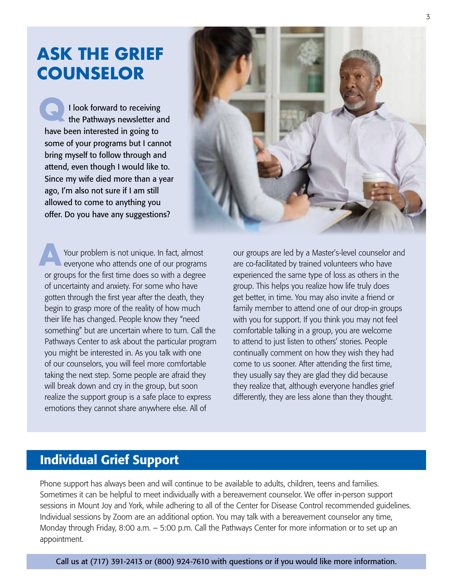## **ASK THE GRIEF COUNSELOR**

**Q** I look forward to receiving the Pathways newsletter and have been interested in going to some of your programs but I cannot bring myself to follow through and attend, even though I would like to. Since my wife died more than a year ago, I'm also not sure if I am still allowed to come to anything you offer. Do you have any suggestions?



**A** Your problem is not unique. In fact, almost everyone who attends one of our programs or groups for the first time does so with a degree of uncertainty and anxiety. For some who have gotten through the first year after the death, they begin to grasp more of the reality of how much their life has changed. People know they "need something" but are uncertain where to turn. Call the Pathways Center to ask about the particular program you might be interested in. As you talk with one of our counselors, you will feel more comfortable taking the next step. Some people are afraid they will break down and cry in the group, but soon realize the support group is a safe place to express emotions they cannot share anywhere else. All of

our groups are led by a Master's-level counselor and are co-facilitated by trained volunteers who have experienced the same type of loss as others in the group. This helps you realize how life truly does get better, in time. You may also invite a friend or family member to attend one of our drop-in groups with you for support. If you think you may not feel comfortable talking in a group, you are welcome to attend to just listen to others' stories. People continually comment on how they wish they had come to us sooner. After attending the first time, they usually say they are glad they did because they realize that, although everyone handles grief differently, they are less alone than they thought.

### Individual Grief Support

Phone support has always been and will continue to be available to adults, children, teens and families. Sometimes it can be helpful to meet individually with a bereavement counselor. We offer in-person support sessions in Mount Joy and York, while adhering to all of the Center for Disease Control recommended guidelines. Individual sessions by Zoom are an additional option. You may talk with a bereavement counselor any time, Monday through Friday, 8:00 a.m. – 5:00 p.m. Call the Pathways Center for more information or to set up an appointment.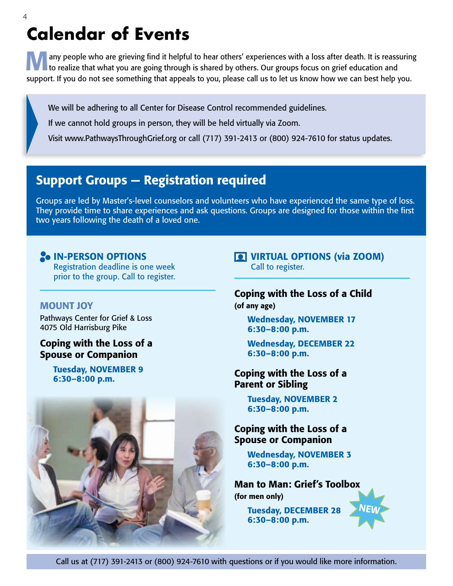## **Calendar of Events**

**Many people who are grieving find it helpful to hear others' experiences with a loss after death. It is reassuring to realize that what you are going through is shared by others. Our groups focus on grief education and** support. If you do not see something that appeals to you, please call us to let us know how we can best help you.

We will be adhering to all Center for Disease Control recommended guidelines.

If we cannot hold groups in person, they will be held virtually via Zoom.

Visit www.PathwaysThroughGrief.org or call (717) 391-2413 or (800) 924-7610 for status updates.

### Support Groups — Registration required

Groups are led by Master's-level counselors and volunteers who have experienced the same type of loss. They provide time to share experiences and ask questions. Groups are designed for those within the first two years following the death of a loved one.

#### **ON-PERSON OPTIONS** Registration deadline is one week

prior to the group. Call to register.

#### MOUNT JOY

Pathways Center for Grief & Loss 4075 Old Harrisburg Pike

#### Coping with the Loss of a Spouse or Companion

Tuesday, NOVEMBER 9 6:30–8:00 p.m.



VIRTUAL OPTIONS (via ZOOM) Call to register.

#### Coping with the Loss of a Child (of any age)

Wednesday, NOVEMBER 17 6:30–8:00 p.m.

Wednesday, DECEMBER 22 6:30–8:00 p.m.

#### Coping with the Loss of a Parent or Sibling

Tuesday, NOVEMBER 2 6:30–8:00 p.m.

#### Coping with the Loss of a Spouse or Companion

Wednesday, NOVEMBER 3 6:30–8:00 p.m.

Man to Man: Grief's Toolbox (for men only)

**NEW** 

Tuesday, DECEMBER 28 6:30–8:00 p.m.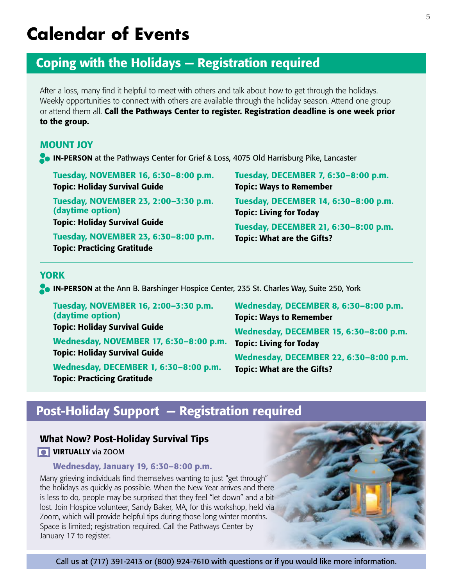## **Calendar of Events**

## Coping with the Holidays — Registration required

After a loss, many find it helpful to meet with others and talk about how to get through the holidays. Weekly opportunities to connect with others are available through the holiday season. Attend one group or attend them all. Call the Pathways Center to register. Registration deadline is one week prior to the group.

#### MOUNT JOY

**IN-PERSON** at the Pathways Center for Grief & Loss, 4075 Old Harrisburg Pike, Lancaster

Tuesday, NOVEMBER 16, 6:30–8:00 p.m. Topic: Holiday Survival Guide

Tuesday, NOVEMBER 23, 2:00–3:30 p.m. (daytime option) Topic: Holiday Survival Guide

Tuesday, NOVEMBER 23, 6:30–8:00 p.m. Topic: Practicing Gratitude

Tuesday, DECEMBER 7, 6:30–8:00 p.m. Topic: Ways to Remember Tuesday, DECEMBER 14, 6:30–8:00 p.m. Topic: Living for Today Tuesday, DECEMBER 21, 6:30–8:00 p.m.

Topic: What are the Gifts?

#### YORK

**IN-PERSON** at the Ann B. Barshinger Hospice Center, 235 St. Charles Way, Suite 250, York

Tuesday, NOVEMBER 16, 2:00–3:30 p.m. (daytime option) Topic: Holiday Survival Guide Wednesday, NOVEMBER 17, 6:30–8:00 p.m. Topic: Living for Today Topic: Holiday Survival Guide

Wednesday, DECEMBER 1, 6:30–8:00 p.m. Topic: Practicing Gratitude

Wednesday, DECEMBER 8, 6:30–8:00 p.m. Topic: Ways to Remember Wednesday, DECEMBER 15, 6:30–8:00 p.m. Wednesday, DECEMBER 22, 6:30–8:00 p.m. Topic: What are the Gifts?

## Post-Holiday Support — Registration required

#### What Now? Post-Holiday Survival Tips

**VIRTUALLY** via ZOOM

#### Wednesday, January 19, 6:30–8:00 p.m.

Many grieving individuals find themselves wanting to just "get through" the holidays as quickly as possible. When the New Year arrives and there is less to do, people may be surprised that they feel "let down" and a bit lost. Join Hospice volunteer, Sandy Baker, MA, for this workshop, held via Zoom, which will provide helpful tips during those long winter months. Space is limited; registration required. Call the Pathways Center by January 17 to register.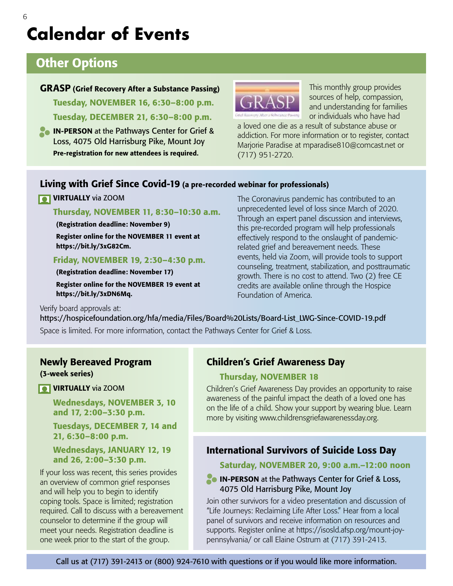## **Calendar of Events**

### Other Options

#### GRASP (Grief Recovery After a Substance Passing)

Tuesday, NOVEMBER 16, 6:30–8:00 p.m. Tuesday, DECEMBER 21, 6:30–8:00 p.m.

**IN-PERSON** at the Pathways Center for Grief & Loss, 4075 Old Harrisburg Pike, Mount Joy Pre-registration for new attendees is required.



This monthly group provides sources of help, compassion, and understanding for families or individuals who have had

a loved one die as a result of substance abuse or addiction. For more information or to register, contact Marjorie Paradise at mparadise810@comcast.net or (717) 951-2720.

#### Living with Grief Since Covid-19 (a pre-recorded webinar for professionals)

#### **VIRTUALLY** via ZOOM

#### Thursday, NOVEMBER 11, 8:30–10:30 a.m.

(Registration deadline: November 9)

Register online for the NOVEMBER 11 event at https://bit.ly/3xG82Cm.

#### Friday, NOVEMBER 19, 2:30–4:30 p.m.

(Registration deadline: November 17) Register online for the NOVEMBER 19 event at https://bit.ly/3xDN6Mq.

The Coronavirus pandemic has contributed to an unprecedented level of loss since March of 2020. Through an expert panel discussion and interviews, this pre-recorded program will help professionals effectively respond to the onslaught of pandemicrelated grief and bereavement needs. These events, held via Zoom, will provide tools to support counseling, treatment, stabilization, and posttraumatic growth. There is no cost to attend. Two (2) free CE credits are available online through the Hospice Foundation of America.

Verify board approvals at:

https://hospicefoundation.org/hfa/media/Files/Board%20Lists/Board-List\_LWG-Since-COVID-19.pdf

Space is limited. For more information, contact the Pathways Center for Grief & Loss.

#### Newly Bereaved Program (3-week series)

**VIRTUALLY** via ZOOM

Wednesdays, NOVEMBER 3, 10 and 17, 2:00–3:30 p.m.

Tuesdays, DECEMBER 7, 14 and 21, 6:30–8:00 p.m.

#### Wednesdays, JANUARY 12, 19 and 26, 2:00–3:30 p.m.

If your loss was recent, this series provides an overview of common grief responses and will help you to begin to identify coping tools. Space is limited; registration required. Call to discuss with a bereavement counselor to determine if the group will meet your needs. Registration deadline is one week prior to the start of the group.

#### Children's Grief Awareness Day

#### Thursday, NOVEMBER 18

Children's Grief Awareness Day provides an opportunity to raise awareness of the painful impact the death of a loved one has on the life of a child. Show your support by wearing blue. Learn more by visiting www.childrensgriefawarenessday.org.

#### International Survivors of Suicide Loss Day

#### Saturday, NOVEMBER 20, 9:00 a.m.–12:00 noon

#### **IN-PERSON** at the Pathways Center for Grief & Loss, 4075 Old Harrisburg Pike, Mount Joy

Join other survivors for a video presentation and discussion of "Life Journeys: Reclaiming Life After Loss." Hear from a local panel of survivors and receive information on resources and supports. Register online at https://isosld.afsp.org/mount-joypennsylvania/ or call Elaine Ostrum at (717) 391-2413.

6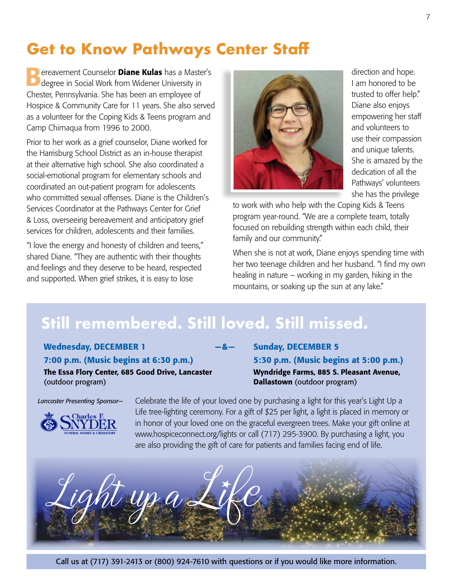## **Get to Know Pathways Center Staff**

**Dereavement Counselor Diane Kulas** has a Master's degree in Social Work from Widener University in Chester, Pennsylvania. She has been an employee of Hospice & Community Care for 11 years. She also served as a volunteer for the Coping Kids & Teens program and Camp Chimaqua from 1996 to 2000.

Prior to her work as a grief counselor, Diane worked for the Harrisburg School District as an in-house therapist at their alternative high school. She also coordinated a social-emotional program for elementary schools and coordinated an out-patient program for adolescents who committed sexual offenses. Diane is the Children's Services Coordinator at the Pathways Center for Grief & Loss, overseeing bereavement and anticipatory grief services for children, adolescents and their families.

"I love the energy and honesty of children and teens," shared Diane. "They are authentic with their thoughts and feelings and they deserve to be heard, respected and supported. When grief strikes, it is easy to lose



direction and hope. I am honored to be trusted to offer help." Diane also enjoys empowering her staff and volunteers to use their compassion and unique talents. She is amazed by the dedication of all the Pathways' volunteers she has the privilege

to work with who help with the Coping Kids & Teens program year-round. "We are a complete team, totally focused on rebuilding strength within each child, their family and our community."

When she is not at work, Diane enjoys spending time with her two teenage children and her husband. "I find my own healing in nature – working in my garden, hiking in the mountains, or soaking up the sun at any lake."

## **Still remembered. Still loved. Still missed.**

Wednesday, DECEMBER 1 —  $-8-$ 7:00 p.m. (Music begins at 6:30 p.m.) The Essa Flory Center, 685 Good Drive, Lancaster (outdoor program)

Sunday, DECEMBER 5 5:30 p.m. (Music begins at 5:00 p.m.) Wyndridge Farms, 885 S. Pleasant Avenue, Dallastown (outdoor program)

*Lancaster Presenting Sponsor—*



Celebrate the life of your loved one by purchasing a light for this year's Light Up a Life tree-lighting ceremony. For a gift of \$25 per light, a light is placed in memory or in honor of your loved one on the graceful evergreen trees. Make your gift online at www.hospiceconnect.org/lights or call (717) 295-3900. By purchasing a light, you are also providing the gift of care for patients and families facing end of life.